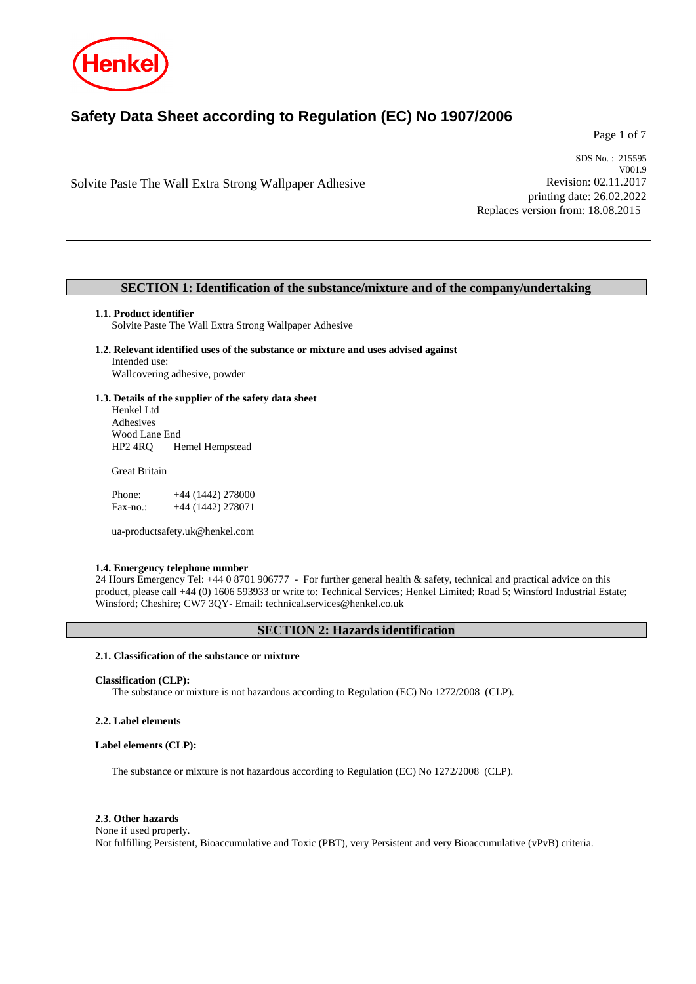

# **Safety Data Sheet according to Regulation (EC) No 1907/2006**

Page 1 of 7

Solvite Paste The Wall Extra Strong Wallpaper Adhesive

SDS No. : 215595 V001.9 Revision: 02.11.2017 printing date: 26.02.2022 Replaces version from: 18.08.2015

### **SECTION 1: Identification of the substance/mixture and of the company/undertaking**

### **1.1. Product identifier**

Solvite Paste The Wall Extra Strong Wallpaper Adhesive

**1.2. Relevant identified uses of the substance or mixture and uses advised against** Intended use: Wallcovering adhesive, powder

**1.3. Details of the supplier of the safety data sheet** Henkel Ltd Adhesives Wood Lane End HP2 4RQ Hemel Hempstead

Great Britain

| Phone:   | $+44(1442)278000$ |
|----------|-------------------|
| Fax-no.: | +44 (1442) 278071 |

ua-productsafety.uk@henkel.com

### **1.4. Emergency telephone number**

24 Hours Emergency Tel: +44 0 8701 906777 - For further general health & safety, technical and practical advice on this product, please call +44 (0) 1606 593933 or write to: Technical Services; Henkel Limited; Road 5; Winsford Industrial Estate; Winsford; Cheshire; CW7 3QY- Email: technical.services@henkel.co.uk

### **SECTION 2: Hazards identification**

### **2.1. Classification of the substance or mixture**

### **Classification (CLP):**

The substance or mixture is not hazardous according to Regulation (EC) No 1272/2008 (CLP).

### **2.2. Label elements**

### **Label elements (CLP):**

The substance or mixture is not hazardous according to Regulation (EC) No 1272/2008 (CLP).

### **2.3. Other hazards**

None if used properly. Not fulfilling Persistent, Bioaccumulative and Toxic (PBT), very Persistent and very Bioaccumulative (vPvB) criteria.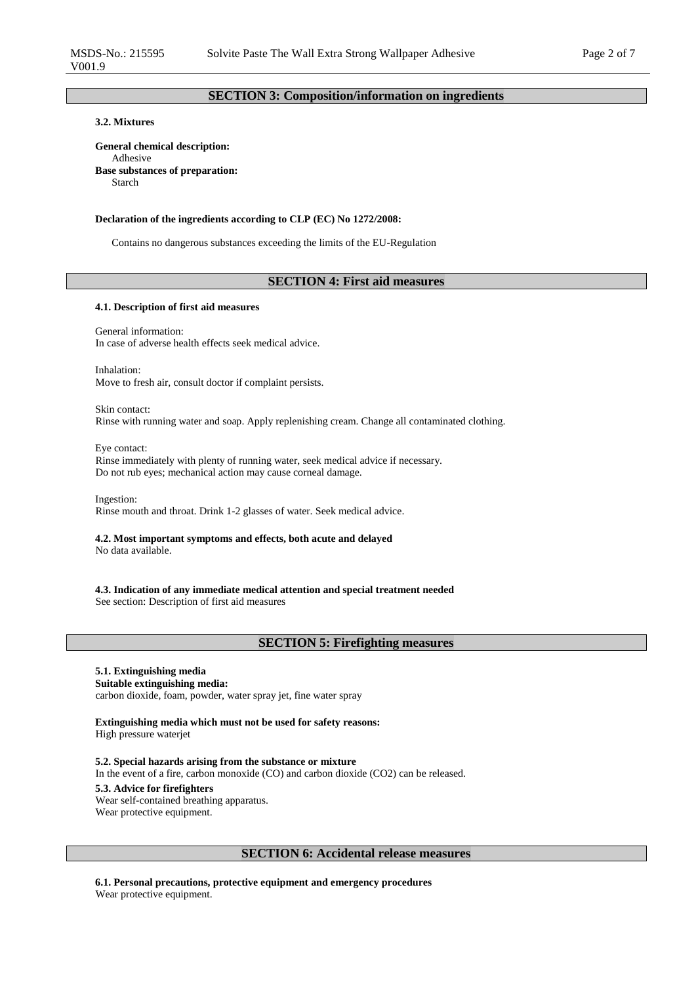# **SECTION 3: Composition/information on ingredients**

# **3.2. Mixtures**

**General chemical description:** Adhesive **Base substances of preparation:** Starch

### **Declaration of the ingredients according to CLP (EC) No 1272/2008:**

Contains no dangerous substances exceeding the limits of the EU-Regulation

### **SECTION 4: First aid measures**

### **4.1. Description of first aid measures**

General information: In case of adverse health effects seek medical advice.

Inhalation: Move to fresh air, consult doctor if complaint persists.

Skin contact: Rinse with running water and soap. Apply replenishing cream. Change all contaminated clothing.

Eye contact: Rinse immediately with plenty of running water, seek medical advice if necessary. Do not rub eyes; mechanical action may cause corneal damage.

Ingestion: Rinse mouth and throat. Drink 1-2 glasses of water. Seek medical advice.

**4.2. Most important symptoms and effects, both acute and delayed** No data available.

**4.3. Indication of any immediate medical attention and special treatment needed** See section: Description of first aid measures

## **SECTION 5: Firefighting measures**

# **5.1. Extinguishing media**

**Suitable extinguishing media:** carbon dioxide, foam, powder, water spray jet, fine water spray

**Extinguishing media which must not be used for safety reasons:** High pressure waterjet

**5.2. Special hazards arising from the substance or mixture** In the event of a fire, carbon monoxide (CO) and carbon dioxide (CO2) can be released. **5.3. Advice for firefighters** Wear self-contained breathing apparatus. Wear protective equipment.

## **SECTION 6: Accidental release measures**

**6.1. Personal precautions, protective equipment and emergency procedures** Wear protective equipment.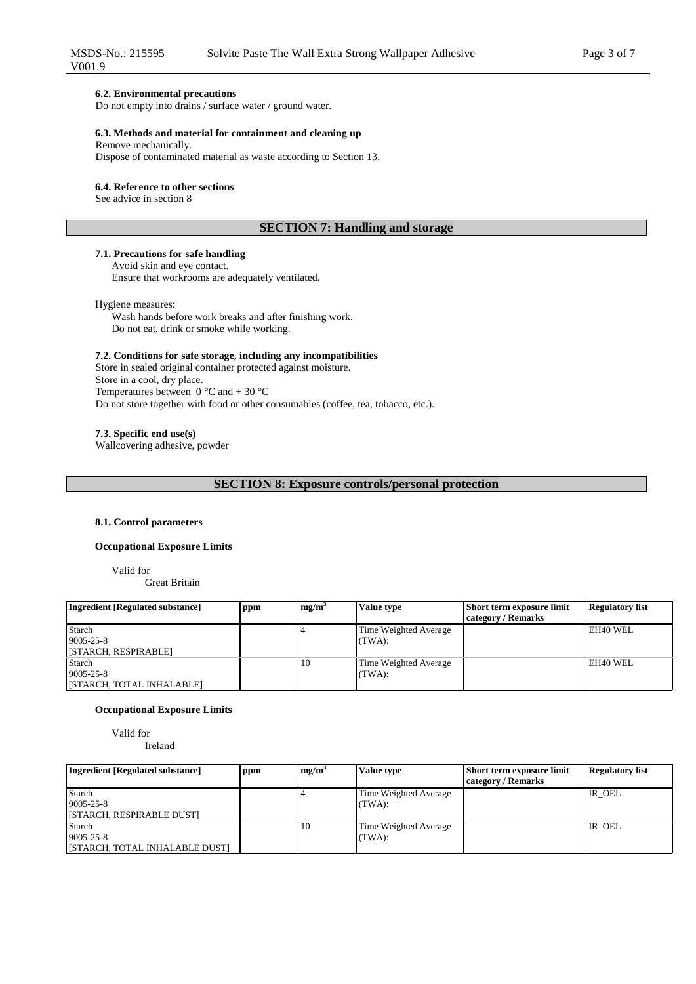### **6.2. Environmental precautions**

Do not empty into drains / surface water / ground water.

### **6.3. Methods and material for containment and cleaning up**

Remove mechanically.

Dispose of contaminated material as waste according to Section 13.

### **6.4. Reference to other sections**

See advice in section 8

# **SECTION 7: Handling and storage**

### **7.1. Precautions for safe handling** Avoid skin and eye contact.

Ensure that workrooms are adequately ventilated.

Hygiene measures:

Wash hands before work breaks and after finishing work. Do not eat, drink or smoke while working.

### **7.2. Conditions for safe storage, including any incompatibilities**

Store in sealed original container protected against moisture. Store in a cool, dry place. Temperatures between  $0^{\circ}$ C and  $+ 30^{\circ}$ C Do not store together with food or other consumables (coffee, tea, tobacco, etc.).

### **7.3. Specific end use(s)**

Wallcovering adhesive, powder

**SECTION 8: Exposure controls/personal protection**

### **8.1. Control parameters**

### **Occupational Exposure Limits**

Valid for

Great Britain

| <b>Ingredient [Regulated substance]</b> | ppm | mg/m <sup>3</sup> | <b>Value type</b>     | <b>Short term exposure limit</b> | <b>Regulatory list</b> |
|-----------------------------------------|-----|-------------------|-----------------------|----------------------------------|------------------------|
|                                         |     |                   |                       | category / Remarks               |                        |
| Starch                                  |     |                   | Time Weighted Average |                                  | EH40 WEL               |
| $9005 - 25 - 8$                         |     |                   | (TWA):                |                                  |                        |
| [STARCH, RESPIRABLE]                    |     |                   |                       |                                  |                        |
| Starch                                  |     | 10                | Time Weighted Average |                                  | EH40 WEL               |
| $9005 - 25 - 8$                         |     |                   | (TWA):                |                                  |                        |
| [STARCH, TOTAL INHALABLE]               |     |                   |                       |                                  |                        |

### **Occupational Exposure Limits**

Valid for

Ireland

| <b>Ingredient [Regulated substance]</b> | ppm | mg/m <sup>3</sup> | <b>Value type</b>     | Short term exposure limit | <b>Regulatory list</b> |
|-----------------------------------------|-----|-------------------|-----------------------|---------------------------|------------------------|
|                                         |     |                   |                       | category / Remarks        |                        |
| Starch                                  |     |                   | Time Weighted Average |                           | IR OEL                 |
| $9005 - 25 - 8$                         |     |                   | (TWA):                |                           |                        |
| [STARCH, RESPIRABLE DUST]               |     |                   |                       |                           |                        |
| <b>Starch</b>                           |     | 10                | Time Weighted Average |                           | IR OEL                 |
| $9005 - 25 - 8$                         |     |                   | (TWA):                |                           |                        |
| [STARCH, TOTAL INHALABLE DUST]          |     |                   |                       |                           |                        |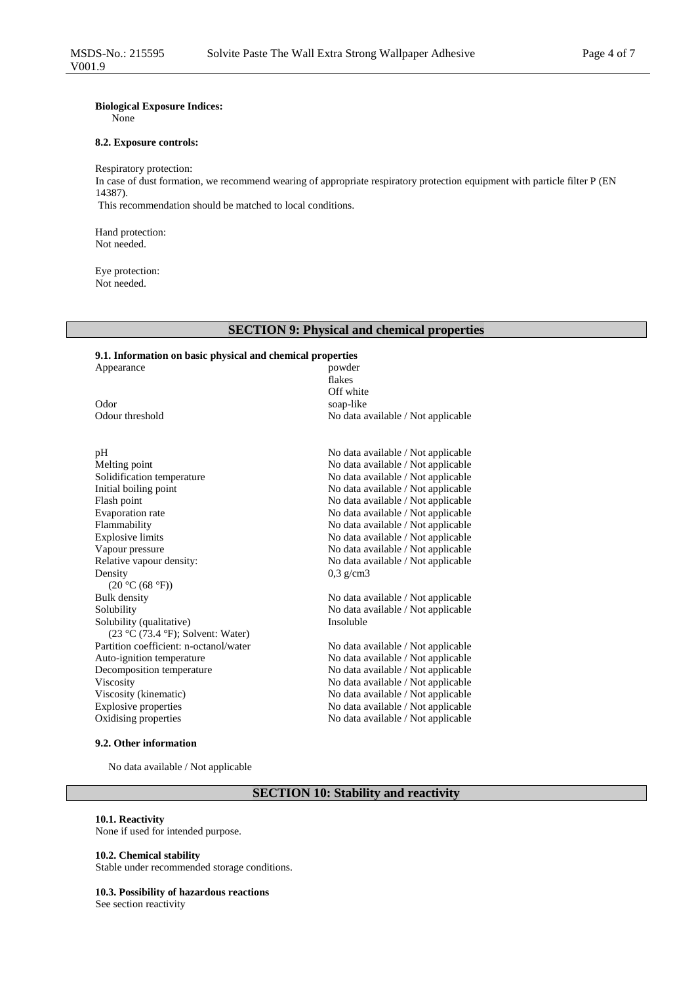# **Biological Exposure Indices:**

None

### **8.2. Exposure controls:**

Respiratory protection: In case of dust formation, we recommend wearing of appropriate respiratory protection equipment with particle filter P (EN 14387). This recommendation should be matched to local conditions.

Hand protection: Not needed.

Eye protection: Not needed.

Appearance

# **SECTION 9: Physical and chemical properties**

flakes Off white

0,3 g/cm3

# **9.1. Information on basic physical and chemical properties**

Odor soap-like Soap-like Soap-like Soap-like Soap-like Soap-like Soap-like Soap-like Soap-like Soap-like Soap-like Soap-like Soap-like Soap-like Soap-like Soap-like Soap-like Soap-like Soap-like Soap-like Soap-like Soap-li

Melting point No data available / Not applicable Solidification temperature No data available / Not applicable Initial boiling point No data available / Not applicable Flash point **No data available / Not applicable** Evaporation rate  $\blacksquare$  No data available / Not applicable <br>
Flammability No data available / Not applicable Explosive limits No data available / Not applicable Vapour pressure No data available / Not applicable Relative vapour density: No data available / Not applicable Density  $(20 °C (68 °F))$ <br>Bulk density Solubility No data available / Not applicable Solubility (qualitative) (23 °C (73.4 °F); Solvent: Water) Partition coefficient: n-octanol/water No data available / Not applicable Auto-ignition temperature No data available / Not applicable Decomposition temperature No data available / Not applicable Viscosity No data available / Not applicable Viscosity (kinematic) No data available / Not applicable Explosive properties No data available / Not applicable

### **9.2. Other information**

No data available / Not applicable

# **SECTION 10: Stability and reactivity**

## **10.1. Reactivity**

None if used for intended purpose.

### **10.2. Chemical stability**

Stable under recommended storage conditions.

### **10.3. Possibility of hazardous reactions**

See section reactivity

pH No data available / Not applicable No data available / Not applicable

No data available / Not applicable

No data available / Not applicable Insoluble

Oxidising properties No data available / Not applicable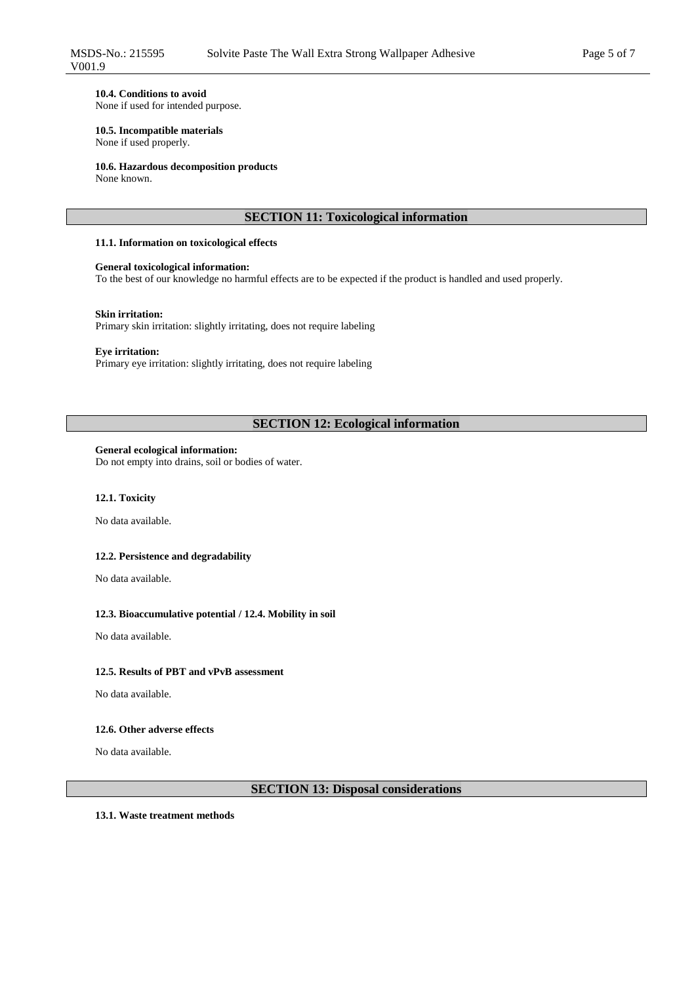### **10.4. Conditions to avoid**

None if used for intended purpose.

## **10.5. Incompatible materials**

None if used properly.

### **10.6. Hazardous decomposition products**

None known.

# **SECTION 11: Toxicological information**

### **11.1. Information on toxicological effects**

### **General toxicological information:**

To the best of our knowledge no harmful effects are to be expected if the product is handled and used properly.

### **Skin irritation:**

Primary skin irritation: slightly irritating, does not require labeling

### **Eye irritation:**

Primary eye irritation: slightly irritating, does not require labeling

# **SECTION 12: Ecological information**

### **General ecological information:**

Do not empty into drains, soil or bodies of water.

### **12.1. Toxicity**

No data available.

### **12.2. Persistence and degradability**

No data available.

### **12.3. Bioaccumulative potential / 12.4. Mobility in soil**

No data available.

# **12.5. Results of PBT and vPvB assessment**

No data available.

### **12.6. Other adverse effects**

No data available.

# **SECTION 13: Disposal considerations**

**13.1. Waste treatment methods**